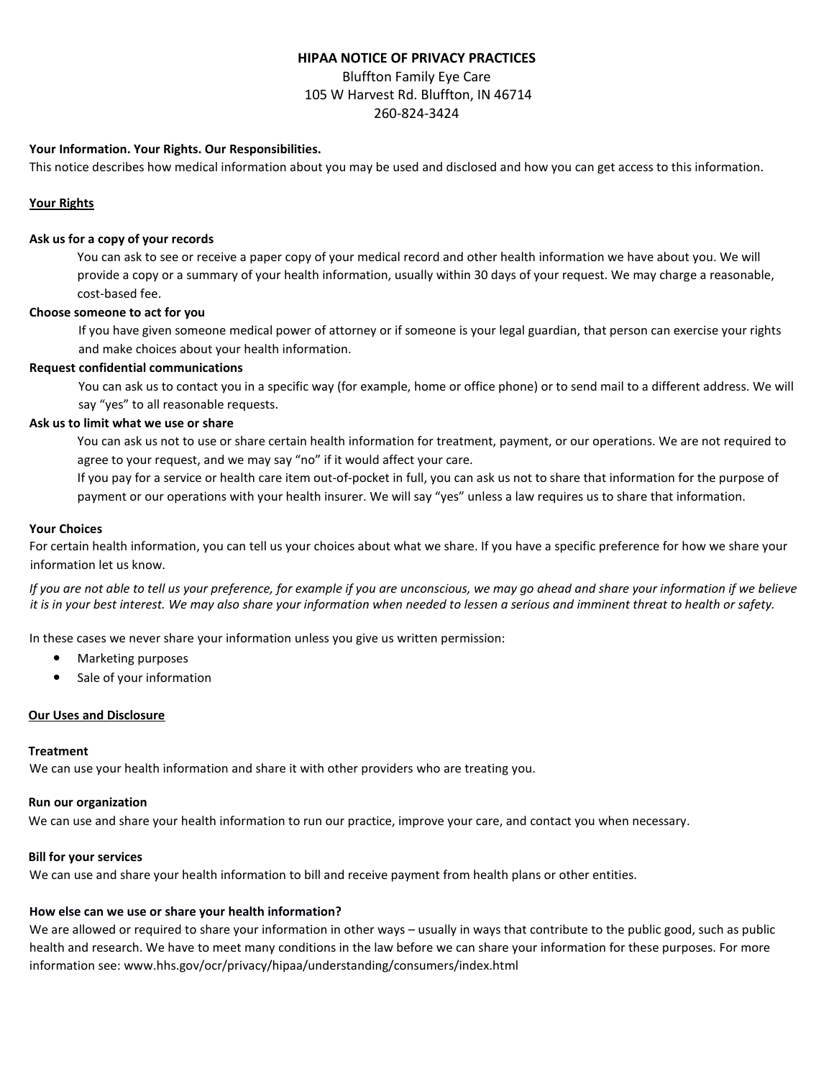# **HIPAA NOTICE OF PRIVACY PRACTICES**

Bluffton Family Eye Care 105 W Harvest Rd. Bluffton, IN 46714 260-824-3424

# **Your Information. Your Rights. Our Responsibilities.**

This notice describes how medical information about you may be used and disclosed and how you can get access to this information.

### **Your Rights**

### **Ask us for a copy of your records**

You can ask to see or receive a paper copy of your medical record and other health information we have about you. We will provide a copy or a summary of your health information, usually within 30 days of your request. We may charge a reasonable, cost-based fee.

# **Choose someone to act for you**

If you have given someone medical power of attorney or if someone is your legal guardian, that person can exercise your rights and make choices about your health information.

# **Request confidential communications**

You can ask us to contact you in a specific way (for example, home or office phone) or to send mail to a different address. We will say "yes" to all reasonable requests.

# **Ask us to limit what we use or share**

You can ask us not to use or share certain health information for treatment, payment, or our operations. We are not required to agree to your request, and we may say "no" if it would affect your care.

If you pay for a service or health care item out-of-pocket in full, you can ask us not to share that information for the purpose of payment or our operations with your health insurer. We will say "yes" unless a law requires us to share that information.

### **Your Choices**

For certain health information, you can tell us your choices about what we share. If you have a specific preference for how we share your information let us know.

*If you are not able to tell us your preference, for example if you are unconscious, we may go ahead and share your information if we believe*  it is in your best interest. We may also share your information when needed to lessen a serious and imminent threat to health or safety.

In these cases we never share your information unless you give us written permission:

- **•** Marketing purposes
- **•** Sale of your information

### **Our Uses and Disclosure**

### **Treatment**

We can use your health information and share it with other providers who are treating you.

# **Run our organization**

We can use and share your health information to run our practice, improve your care, and contact you when necessary.

# **Bill for your services**

We can use and share your health information to bill and receive payment from health plans or other entities.

# **How else can we use or share your health information?**

We are allowed or required to share your information in other ways – usually in ways that contribute to the public good, such as public health and research. We have to meet many conditions in the law before we can share your information for these purposes. For more information see: [www.hhs.gov/ocr/privacy/hipaa/understanding/consumers/index.html](http://www.hhs.gov/ocr/privacy/hipaa/understanding/consumers/index.html)